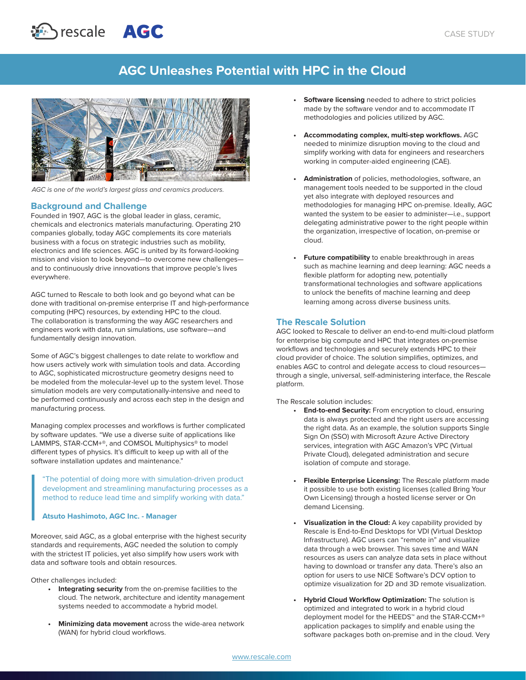# **AGC Unleashes Potential with HPC in the Cloud**



*AGC is one of the world's largest glass and ceramics producers.*

rescale **AGC** 

# **Background and Challenge**

Founded in 1907, AGC is the global leader in glass, ceramic, chemicals and electronics materials manufacturing. Operating 210 companies globally, today AGC complements its core materials business with a focus on strategic industries such as mobility, electronics and life sciences. AGC is united by its forward-looking mission and vision to look beyond—to overcome new challenges and to continuously drive innovations that improve people's lives everywhere.

AGC turned to Rescale to both look and go beyond what can be done with traditional on-premise enterprise IT and high-performance computing (HPC) resources, by extending HPC to the cloud. The collaboration is transforming the way AGC researchers and engineers work with data, run simulations, use software—and fundamentally design innovation.

Some of AGC's biggest challenges to date relate to workflow and how users actively work with simulation tools and data. According to AGC, sophisticated microstructure geometry designs need to be modeled from the molecular-level up to the system level. Those simulation models are very computationally-intensive and need to be performed continuously and across each step in the design and manufacturing process.

Managing complex processes and workflows is further complicated by software updates. "We use a diverse suite of applications like LAMMPS, STAR-CCM+®, and COMSOL Multiphysics® to model different types of physics. It's difficult to keep up with all of the software installation updates and maintenance."

"The potential of doing more with simulation-driven product development and streamlining manufacturing processes as a method to reduce lead time and simplify working with data."

#### **Atsuto Hashimoto, AGC Inc. - Manager**

Moreover, said AGC, as a global enterprise with the highest security standards and requirements, AGC needed the solution to comply with the strictest IT policies, yet also simplify how users work with data and software tools and obtain resources.

Other challenges included:

- **• Integrating security** from the on-premise facilities to the cloud. The network, architecture and identity management systems needed to accommodate a hybrid model.
- **• Minimizing data movement** across the wide-area network (WAN) for hybrid cloud workflows.
- **• Software licensing** needed to adhere to strict policies made by the software vendor and to accommodate IT methodologies and policies utilized by AGC.
- **• Accommodating complex, multi-step workflows.** AGC needed to minimize disruption moving to the cloud and simplify working with data for engineers and researchers working in computer-aided engineering (CAE).
- **• Administration** of policies, methodologies, software, an management tools needed to be supported in the cloud yet also integrate with deployed resources and methodologies for managing HPC on-premise. Ideally, AGC wanted the system to be easier to administer—i.e., support delegating administrative power to the right people within the organization, irrespective of location, on-premise or cloud.
- **• Future compatibility** to enable breakthrough in areas such as machine learning and deep learning: AGC needs a flexible platform for adopting new, potentially transformational technologies and software applications to unlock the benefits of machine learning and deep learning among across diverse business units.

## **The Rescale Solution**

AGC looked to Rescale to deliver an end-to-end multi-cloud platform for enterprise big compute and HPC that integrates on-premise workflows and technologies and securely extends HPC to their cloud provider of choice. The solution simplifies, optimizes, and enables AGC to control and delegate access to cloud resources through a single, universal, self-administering interface, the Rescale platform.

The Rescale solution includes:

- **• End-to-end Security:** From encryption to cloud, ensuring data is always protected and the right users are accessing the right data. As an example, the solution supports Single Sign On (SSO) with Microsoft Azure Active Directory services, integration with AGC Amazon's VPC (Virtual Private Cloud), delegated administration and secure isolation of compute and storage.
- **• Flexible Enterprise Licensing:** The Rescale platform made it possible to use both existing licenses (called Bring Your Own Licensing) through a hosted license server or On demand Licensing.
- **• Visualization in the Cloud:** A key capability provided by Rescale is End-to-End Desktops for VDI (Virtual Desktop Infrastructure). AGC users can "remote in" and visualize data through a web browser. This saves time and WAN resources as users can analyze data sets in place without having to download or transfer any data. There's also an option for users to use NICE Software's DCV option to optimize visualization for 2D and 3D remote visualization.
- **• Hybrid Cloud Workflow Optimization:** The solution is optimized and integrated to work in a hybrid cloud deployment model for the HEEDS™ and the STAR-CCM+® application packages to simplify and enable using the software packages both on-premise and in the cloud. Very